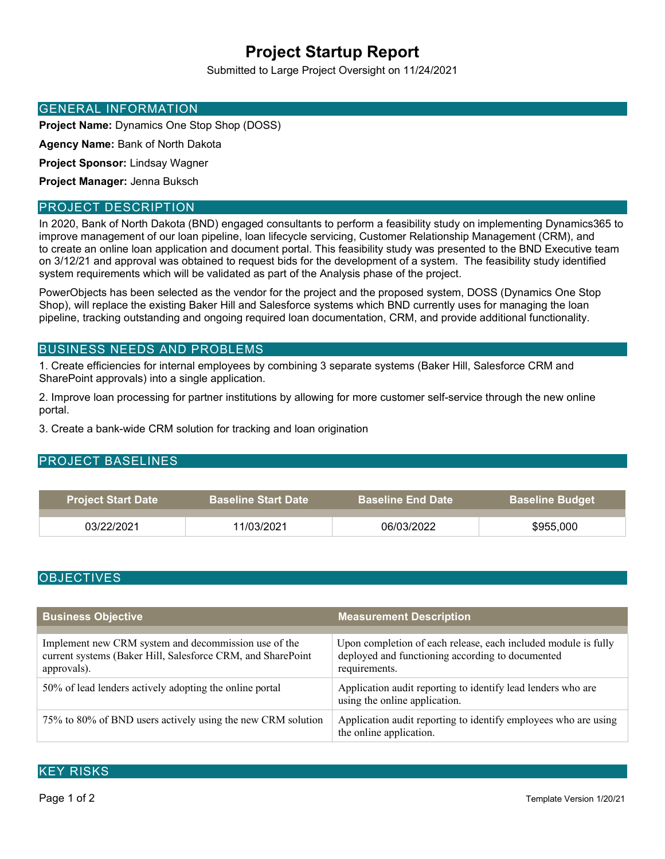# **Project Startup Report**

Submitted to Large Project Oversight on 11/24/2021

## GENERAL INFORMATION

**Project Name:** Dynamics One Stop Shop (DOSS)

**Agency Name:** Bank of North Dakota

**Project Sponsor:** Lindsay Wagner

**Project Manager:** Jenna Buksch

## PROJECT DESCRIPTION

In 2020, Bank of North Dakota (BND) engaged consultants to perform a feasibility study on implementing Dynamics365 to improve management of our loan pipeline, loan lifecycle servicing, Customer Relationship Management (CRM), and to create an online loan application and document portal. This feasibility study was presented to the BND Executive team on 3/12/21 and approval was obtained to request bids for the development of a system. The feasibility study identified system requirements which will be validated as part of the Analysis phase of the project.

PowerObjects has been selected as the vendor for the project and the proposed system, DOSS (Dynamics One Stop Shop), will replace the existing Baker Hill and Salesforce systems which BND currently uses for managing the loan pipeline, tracking outstanding and ongoing required loan documentation, CRM, and provide additional functionality.

## BUSINESS NEEDS AND PROBLEMS

1. Create efficiencies for internal employees by combining 3 separate systems (Baker Hill, Salesforce CRM and SharePoint approvals) into a single application.

2. Improve loan processing for partner institutions by allowing for more customer self-service through the new online portal.

3. Create a bank-wide CRM solution for tracking and loan origination

# PROJECT BASELINES

| <b>Project Start Date</b> | <b>Baseline Start Date</b> | <b>Baseline End Date</b> ا | <b>Baseline Budget</b> |
|---------------------------|----------------------------|----------------------------|------------------------|
|                           |                            |                            |                        |
| 03/22/2021                | 11/03/2021                 | 06/03/2022                 | \$955,000              |

## **OBJECTIVES**

| <b>Business Objective</b>                                                                                                          | <b>Measurement Description</b>                                                                                                      |
|------------------------------------------------------------------------------------------------------------------------------------|-------------------------------------------------------------------------------------------------------------------------------------|
|                                                                                                                                    |                                                                                                                                     |
| Implement new CRM system and decommission use of the<br>current systems (Baker Hill, Salesforce CRM, and SharePoint<br>approvals). | Upon completion of each release, each included module is fully<br>deployed and functioning according to documented<br>requirements. |
| 50% of lead lenders actively adopting the online portal                                                                            | Application audit reporting to identify lead lenders who are<br>using the online application.                                       |
| 75% to 80% of BND users actively using the new CRM solution                                                                        | Application audit reporting to identify employees who are using<br>the online application.                                          |